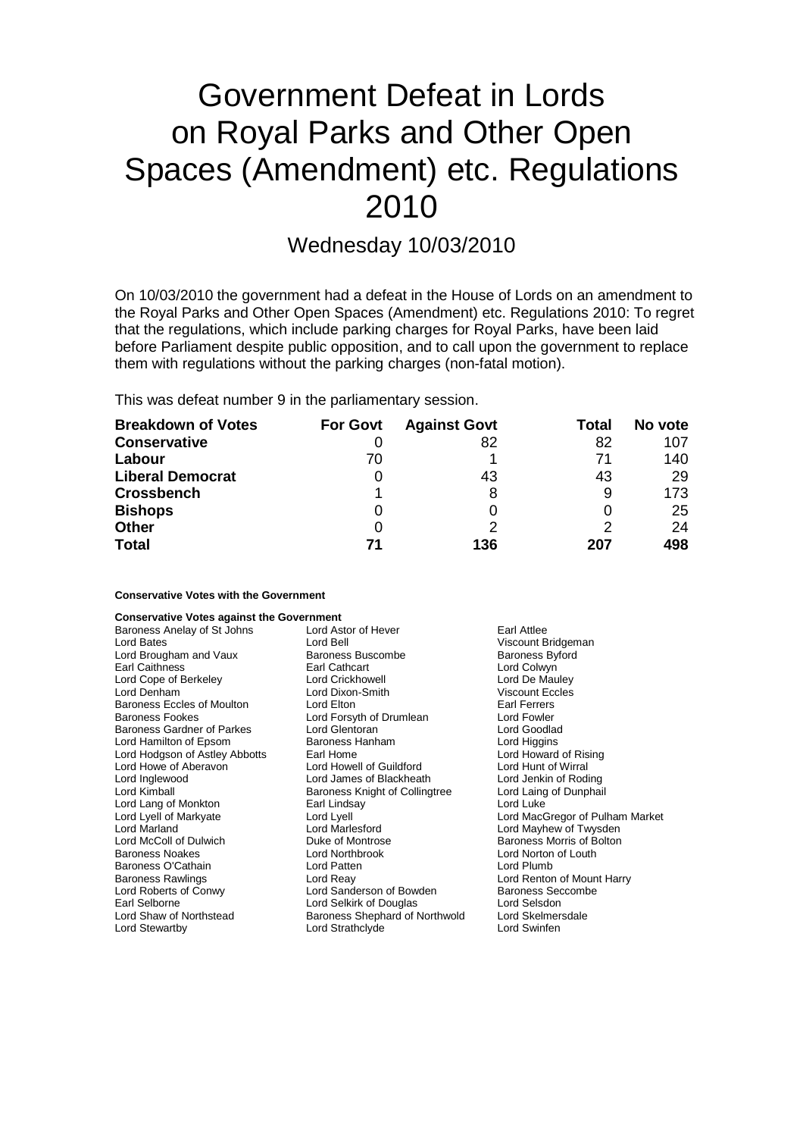# Government Defeat in Lords on Royal Parks and Other Open Spaces (Amendment) etc. Regulations 2010

# Wednesday 10/03/2010

On 10/03/2010 the government had a defeat in the House of Lords on an amendment to the Royal Parks and Other Open Spaces (Amendment) etc. Regulations 2010: To regret that the regulations, which include parking charges for Royal Parks, have been laid before Parliament despite public opposition, and to call upon the government to replace them with regulations without the parking charges (non-fatal motion).

This was defeat number 9 in the parliamentary session.

| <b>Breakdown of Votes</b> | <b>For Govt</b> | <b>Against Govt</b> | Total | No vote |
|---------------------------|-----------------|---------------------|-------|---------|
| <b>Conservative</b>       |                 | 82                  | 82    | 107     |
| Labour                    | 70              |                     | 71    | 140     |
| <b>Liberal Democrat</b>   |                 | 43                  | 43    | 29      |
| <b>Crossbench</b>         |                 | 8                   | 9     | 173     |
| <b>Bishops</b>            | 0               |                     |       | 25      |
| <b>Other</b>              |                 | っ                   |       | 24      |
| <b>Total</b>              | 71              | 136                 | 207   | 498     |

#### **Conservative Votes with the Government**

#### **Conservative Votes against the Government**

| Baroness Anelay of St Johns       | Lord Astor of Hever            | Earl Attlee                     |
|-----------------------------------|--------------------------------|---------------------------------|
| Lord Bates                        | Lord Bell                      | Viscount Bridgeman              |
| Lord Brougham and Vaux            | <b>Baroness Buscombe</b>       | Baroness Byford                 |
| Earl Caithness                    | Earl Cathcart                  | Lord Colwyn                     |
| Lord Cope of Berkeley             | Lord Crickhowell               | Lord De Mauley                  |
| Lord Denham                       | Lord Dixon-Smith               | <b>Viscount Eccles</b>          |
| Baroness Eccles of Moulton        | Lord Elton                     | Earl Ferrers                    |
| <b>Baroness Fookes</b>            | Lord Forsyth of Drumlean       | Lord Fowler                     |
| <b>Baroness Gardner of Parkes</b> | Lord Glentoran                 | Lord Goodlad                    |
| Lord Hamilton of Epsom            | Baroness Hanham                | Lord Higgins                    |
| Lord Hodgson of Astley Abbotts    | Earl Home                      | Lord Howard of Rising           |
| Lord Howe of Aberavon             | Lord Howell of Guildford       | Lord Hunt of Wirral             |
| Lord Inglewood                    | Lord James of Blackheath       | Lord Jenkin of Roding           |
| Lord Kimball                      | Baroness Knight of Collingtree | Lord Laing of Dunphail          |
| Lord Lang of Monkton              | Earl Lindsay                   | Lord Luke                       |
| Lord Lyell of Markyate            | Lord Lyell                     | Lord MacGregor of Pulham Market |
| Lord Marland                      | Lord Marlesford                | Lord Mayhew of Twysden          |
| Lord McColl of Dulwich            | Duke of Montrose               | Baroness Morris of Bolton       |
| <b>Baroness Noakes</b>            | Lord Northbrook                | Lord Norton of Louth            |
| Baroness O'Cathain                | Lord Patten                    | Lord Plumb                      |
| <b>Baroness Rawlings</b>          | Lord Reay                      | Lord Renton of Mount Harry      |
| Lord Roberts of Conwy             | Lord Sanderson of Bowden       | Baroness Seccombe               |
| Earl Selborne                     | Lord Selkirk of Douglas        | Lord Selsdon                    |
| Lord Shaw of Northstead           | Baroness Shephard of Northwold | Lord Skelmersdale               |
| Lord Stewartby                    | Lord Strathclyde               | Lord Swinfen                    |
|                                   |                                |                                 |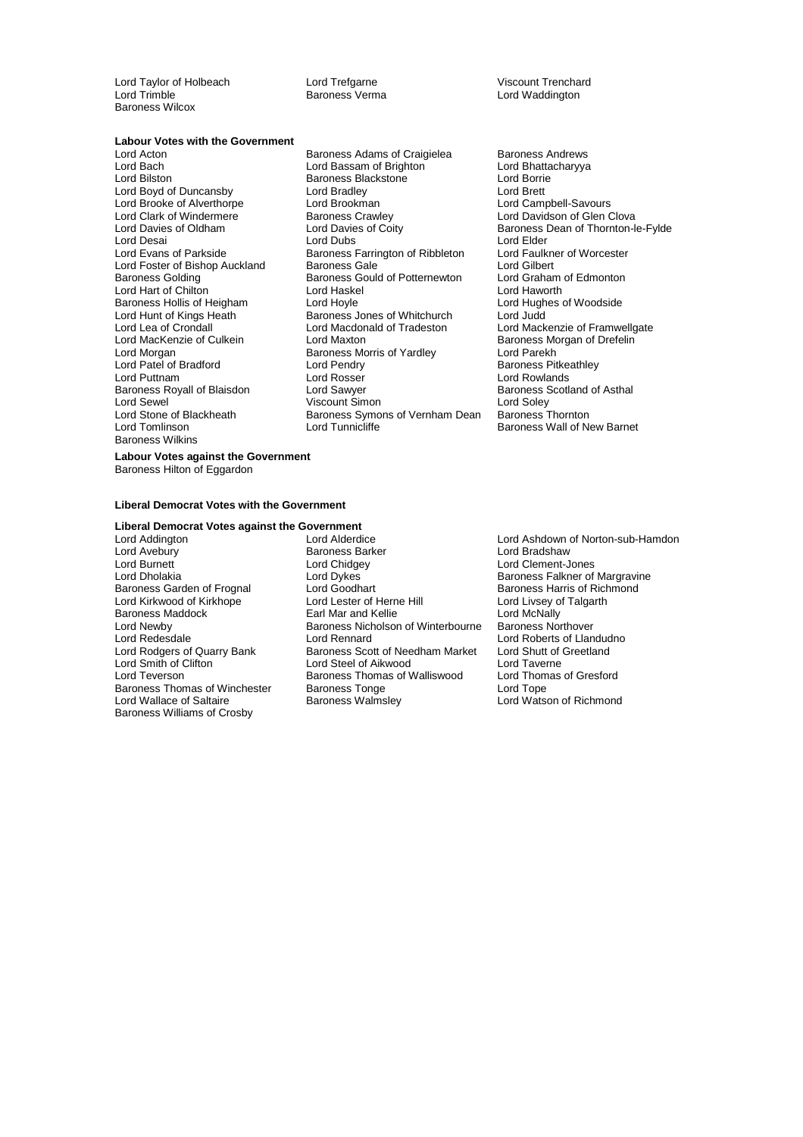Lord Taylor of Holbeach **Lord Trefgarne** Cord Trenchard<br>
Lord Trimble **Cord Cord Cord Cord Cord Treft Cord Trimble**<br>
Lord Waddington Baroness Wilcox

Baroness Verma

## **Labour Votes with the Government**<br>Lord Acton

Lord Brooke of Alverthorpe Lord Brookman<br>
Lord Clark of Windermere Baroness Crawley Baroness Hollis of Heigham<br>Lord Hunt of Kings Heath Lord Patel of Bradford Lord Pendry<br>
Lord Puttnam Lord Rosser Baroness Royall of Blaisdon Baroness Wilkins

Baroness Adams of Craigielea Baroness Andrews Lord Bach Lord Bassam of Brighton Lord Bhattacharyya Examples Blackstone Example 2011 Lord Borrie<br>
Lord Bradley Corp. Lord Brett Lord Brett<br>
Lord Boyd of Duncansby Lord Bradley Lord Brett<br>
Lord Brooke of Alverthorpe Lord Brookman Lord Campbell-Savours Lord Clark of Windermere **Baroness Crawley Lord Davidson of Glen Clova**<br>
Lord Davies of Oldham Lord Davies of Coity **Baroness Dean of Thornton-I** Lord Desai **Lord Dubs Lord Dubs Lord Elder** Lord Evans of Parkside **Baroness Farrington of Ribbleton** Lord Faulkner of Worcester<br>
Lord Foster of Bishop Auckland Baroness Gale **Lord Gilbert** Lord Foster of Bishop Auckland Baroness Gale [15] Lord Gilbert Lord Gilbert<br>Baroness Golding Baroness Gould of Potternewton Lord Graham of Edmonton Baroness Gould of Potternewton Lord Graham<br>Lord Haskel Lord Haworth Lord Hart of Chilton **Communist Control Haskel Communist Control** Lord Haworth Lord Haworth Baroness Hollis of Heigham Lord Hoyle **Lord Hayang Lord Hughes of Woodside** Runt Comes dones of Whitchurch Lord Judd<br>
Lord Macdonald of Tradeston Lord Mack Lord Lea of Crondall **Lord Macdonald of Tradeston** Lord Mackenzie of Framwellgate Lord MacKenzie of Culkein Lord Maxton Cord Caroley Baroness Morgan of Drefelin<br>
Lord Morgan Cord Baroness Morris of Yardley Cord Parekh Exaroness Morris of Yardley **Lord Parekh**<br> **Lord Pendry Corporation**<br>
Baroness Pitkeathley Lord Rosser **Lord Rowlands**<br>
Lord Sawyer **Lord Rowlands**<br>
Lord Sawyer **Baroness** Scotland of Asthal Lord Sewel (2008)<br>
Lord Stone of Blackheath (2008) Baroness Symons of Vernham Dean (2008) Baroness Thornton Baroness Symons of Vernham Dean Lord Tomlinson **Lord Tunnicliffe** Baroness Wall of New Barnet

Baroness Dean of Thornton-le-Fylde

**Labour Votes against the Government** Baroness Hilton of Eggardon

#### **Liberal Democrat Votes with the Government**

## **Liberal Democrat Votes against the Government**

Baroness Garden of Frognal Lord Goodhart<br>
Lord Kirkwood of Kirkhope Lord Lester of Herne Hill Baroness Thomas of Winchester Baroness Tonge<br>
Lord Wallace of Saltaire Baroness Walmsley Baroness Williams of Crosby

Lord Addington **Lord Alderdice** Lord Ashdown of Norton-sub-Hamdon<br>
Lord Avebury **Corporation**<br>
Lord Avebury **Corporation Corporation**<br>
Lord Bradshaw Baroness Barker Lord Burnett Lord Chidgey Lord Clement-Jones Lord Dykes **Consumerse Baroness Falkner of Margravine**<br>Lord Goodhart **Baroness Harris of Richmond** Lord Kirkwood of Kirkhope Lord Lester of Herne Hill Lord Livsey of Talgarth<br>
Baroness Maddock Lord McNally Lord McNally Baroness Maddock **Earl Mar and Kellie** Lord McNally **Communist Communist Communist Communist Communist Communist Communist Communist Communist Communist Communist Communist Communist Communist Communist Communist Communist** Baroness Nicholson of Winterbourne Lord Redesdale Lord Rennard Lord Roberts of Llandudno Lord Rodgers of Quarry Bank Baroness Scott of Needham Market Lord Shutt of Greetland<br>
Lord Smith of Clifton **Barone** Lord Steel of Aikwood Lord Taverne Lord Smith of Clifton Lord Steel of Aikwood Lord Taverne Baroness Thomas of Walliswood Lord Thom<br>Baroness Tonge Lord Tope

Lord Watson of Richmond